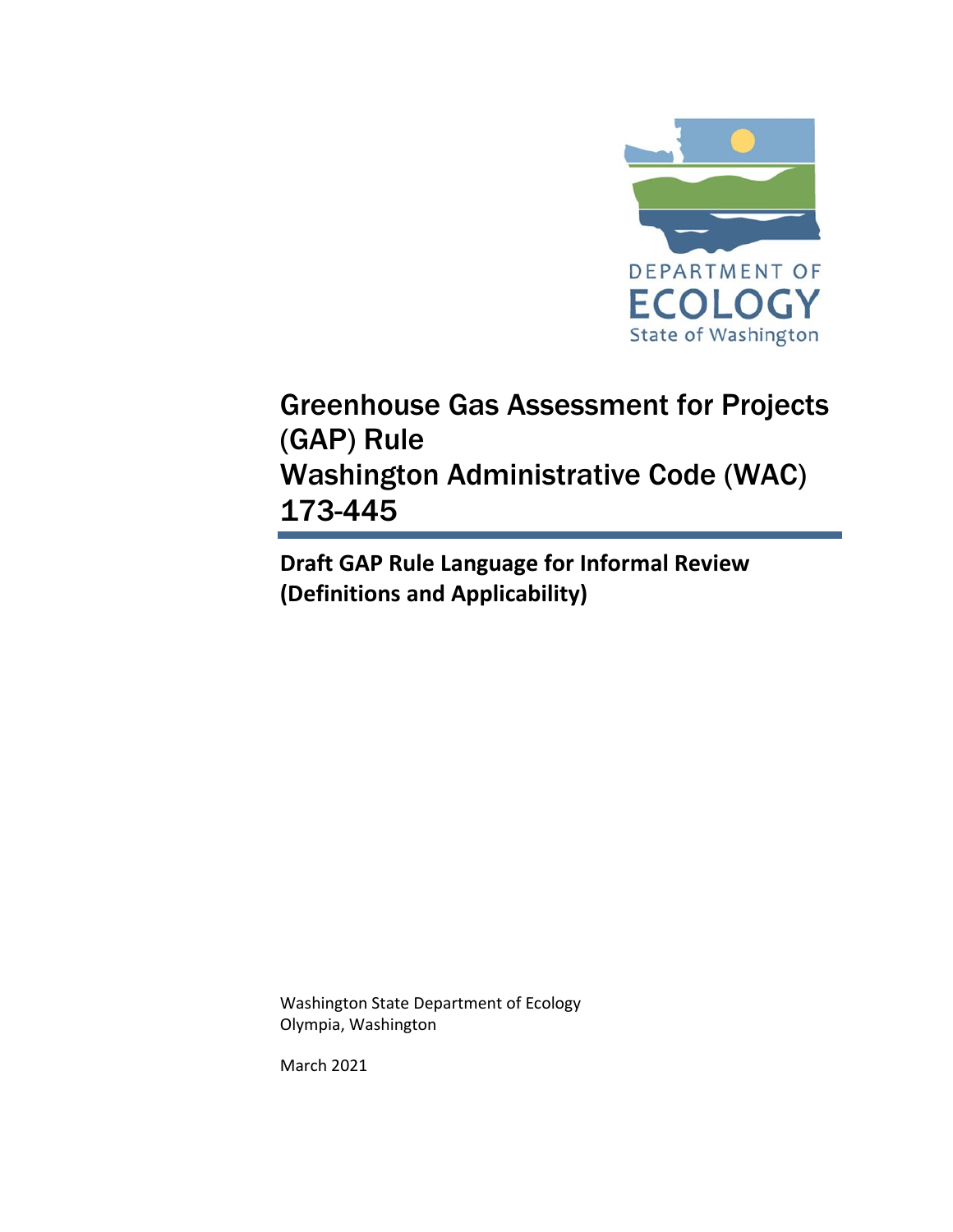

## Greenhouse Gas Assessment for Projects (GAP) Rule Washington Administrative Code (WAC) 173-445

**Draft GAP Rule Language for Informal Review (Definitions and Applicability)**

Washington State Department of Ecology Olympia, Washington

March 2021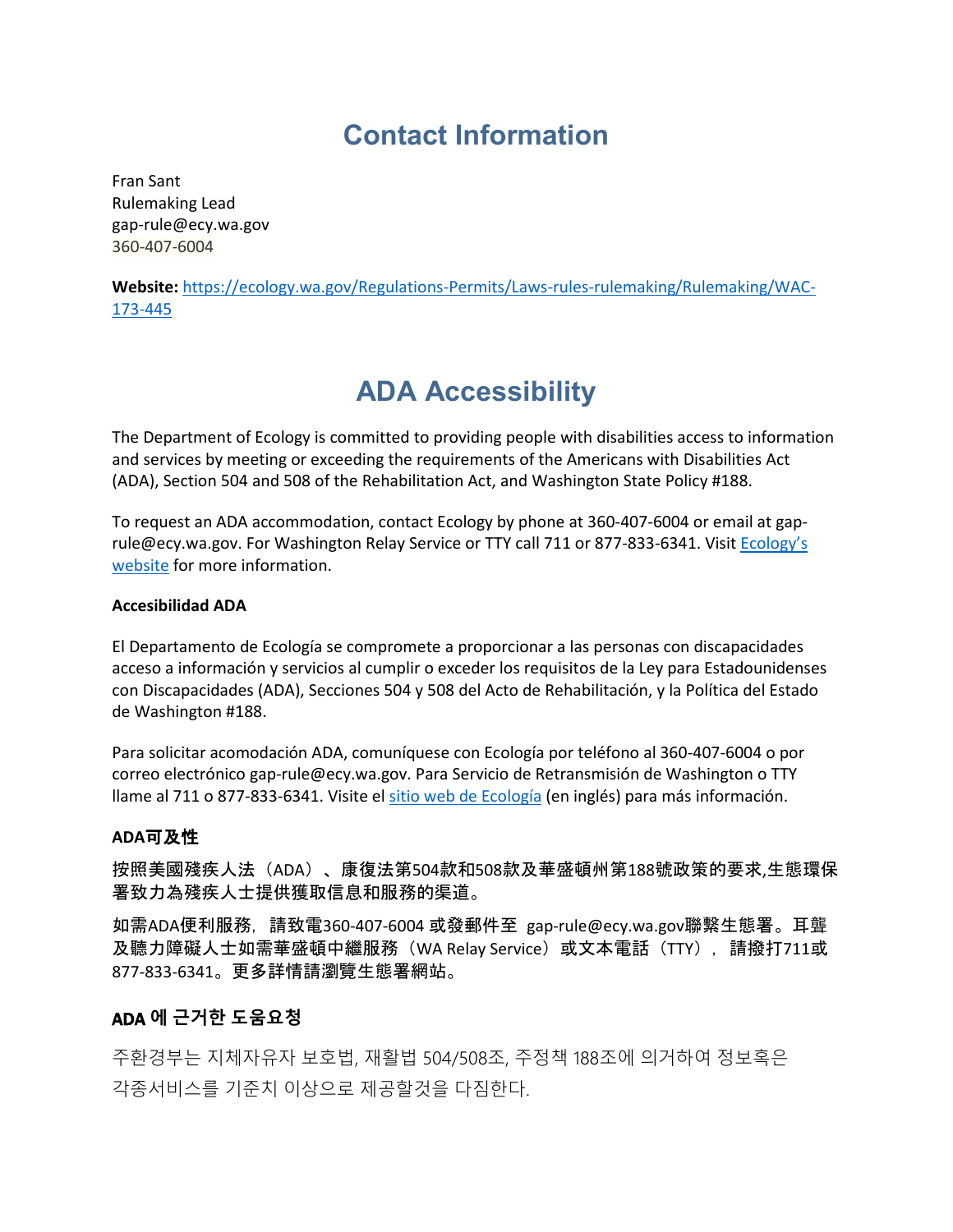### **Contact Information**

Fran Sant Rulemaking Lead [gap-rule@ecy.wa.gov](mailto:gap-rule@ecy.wa.gov?subject=WAC%20173-445%20Rulemaking) 360-407-6004

**Website:** [https://ecology.wa.gov/Regulations-Permits/Laws-rules-rulemaking/Rulemaking/WAC-](https://ecology.wa.gov/Regulations-Permits/Laws-rules-rulemaking/Rulemaking/WAC-173-445)[173-445](https://ecology.wa.gov/Regulations-Permits/Laws-rules-rulemaking/Rulemaking/WAC-173-445)

## **ADA Accessibility**

The Department of Ecology is committed to providing people with disabilities access to information and services by meeting or exceeding the requirements of the Americans with Disabilities Act (ADA), Section 504 and 508 of the Rehabilitation Act, and Washington State Policy #188.

To request an ADA accommodation, contact Ecology by phone at 360-407-6004 or email at [gap](mailto:gap-rule@ecy.wa.gov?subject=WAC%20173-445%20Rulemaking)[rule@ecy.wa.gov.](mailto:gap-rule@ecy.wa.gov?subject=WAC%20173-445%20Rulemaking) For Washington Relay Service or TTY call 711 or 877-833-6341. Visit Ecology's [website](https://ecology.wa.gov/About-us/Accountability-transparency/Our-website/Accessibility) for more information.

#### **Accesibilidad ADA**

El Departamento de Ecología se compromete a proporcionar a las personas con discapacidades acceso a información y servicios al cumplir o exceder los requisitos de la Ley para Estadounidenses con Discapacidades (ADA), Secciones 504 y 508 del Acto de Rehabilitación, y la Política del Estado de Washington #188.

Para solicitar acomodación ADA, comuníquese con Ecología por teléfono al 360-407-6004 o por correo electrónico [gap-rule@ecy.wa.gov.](mailto:gap-rule@ecy.wa.gov?subject=WAC%20173-445%20Rulemaking) Para Servicio de Retransmisión de Washington o TTY llame al 711 o 877-833-6341. Visite el [sitio web de Ecología](https://ecology.wa.gov/About-us/Accountability-transparency/Accessibility) (en inglés) para más información.

#### **ADA**可及性

按照美國殘疾人法(ADA)、康復法第504款和508款及華盛頓州第188號政策的要求,生態環保 署致力為殘疾人士提供獲取信息和服務的渠道。

如需ADA便利服務,請致電360-407-6004 或發郵件至 [gap-rule@ecy.wa.gov](mailto:gap-rule@ecy.wa.gov?subject=WAC%20173-445%20Rulemaking)聯繫生態署。耳聾 及聽力障礙人士如需華盛頓中繼服務 (WA Relay Service) 或文本電話 (TTY), 請撥打711或 877-833-6341。更多詳情請瀏覽生態署網站。

### ADA **에 근거한 도움요청**

주환경부는 지체자유자 보호법, 재활법 504/508조, 주정책 188조에 의거하여 정보혹은 각종서비스를 기준치 이상으로 제공할것을 다짐한다.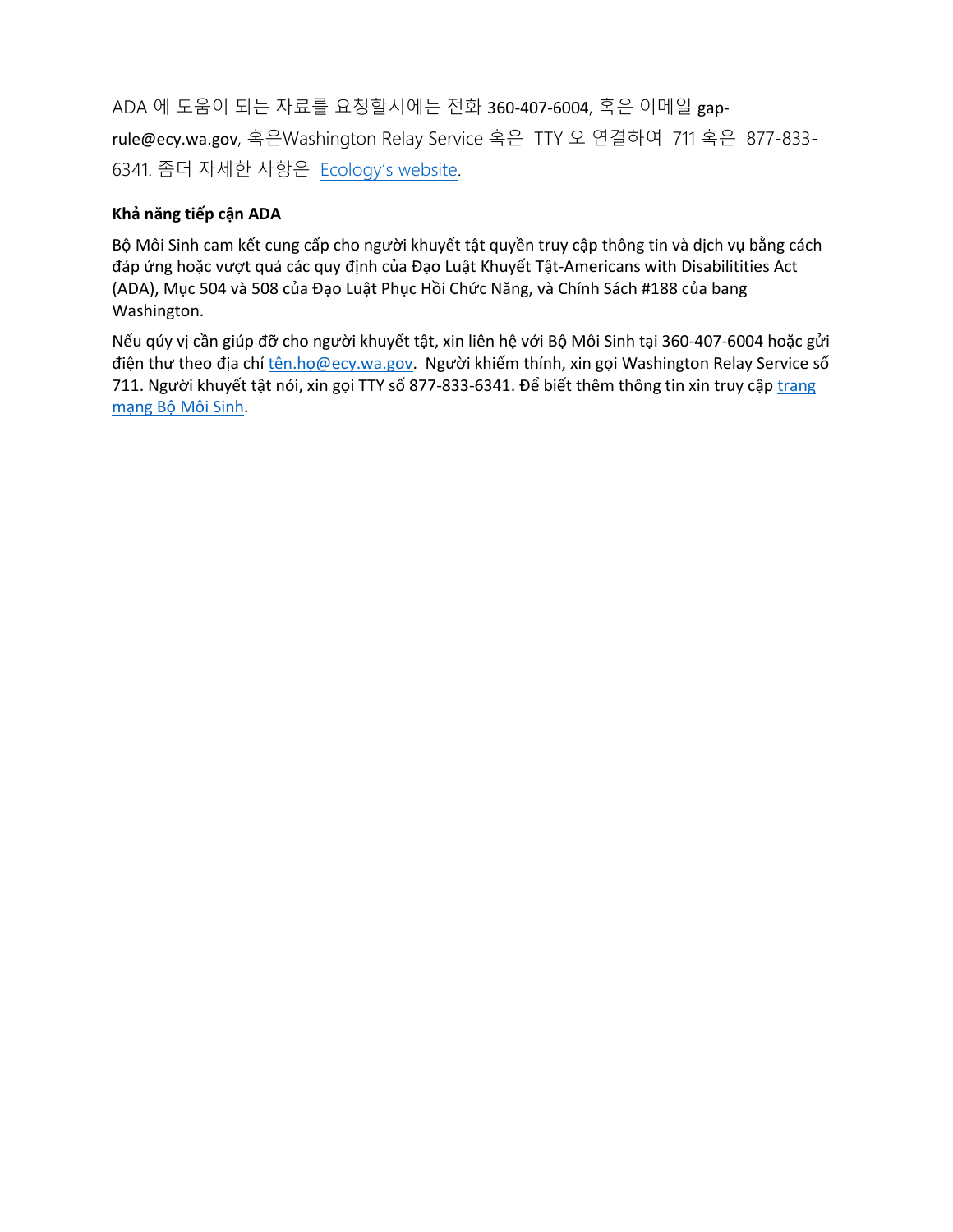ADA 에 도움이 되는 자료를 요청할시에는 전화 360-407-6004, 혹은 이메일 [gap](mailto:gap-rule@ecy.wa.gov?subject=WAC%20173-445%20Rulemaking)[rule@ecy.wa.gov](mailto:gap-rule@ecy.wa.gov?subject=WAC%20173-445%20Rulemaking), 혹은Washington Relay Service 혹은 TTY 오 연결하여 711 혹은 877-833- 6341. 좀더 자세한 사항은 [Ecology's website.](https://ecology.wa.gov/About-us/Accountability-transparency/Accessibility)

### **Khả năng tiếp cận ADA**

Bộ Môi Sinh cam kết cung cấp cho người khuyết tật quyền truy cập thông tin và dịch vụ bằng cách đáp ứng hoặc vượt quá các quy định của Đạo Luật Khuyết Tật-Americans with Disabilitities Act (ADA), Mục 504 và 508 của Đạo Luật Phục Hồi Chức Năng, và Chính Sách #188 của bang Washington.

Nếu qúy vị cần giúp đỡ cho người khuyết tật, xin liên hệ với Bộ Môi Sinh tại 360-407-6004 hoặc gửi điện thư theo địa chỉ tên.họ[@ecy.wa.gov](mailto:t%C3%AAn.ho%CC%A3@ecy.wa.gov). Người khiếm thính, xin gọi Washington Relay Service số 711. Người khuyết tật nói, xin gọi TTY số 877-833-6341. Để biết thêm thông tin xin truy cậ[p trang](https://ecology.wa.gov/About-us/Accountability-transparency/Accessibility)  mạng Bộ [Môi Sinh.](https://ecology.wa.gov/About-us/Accountability-transparency/Accessibility)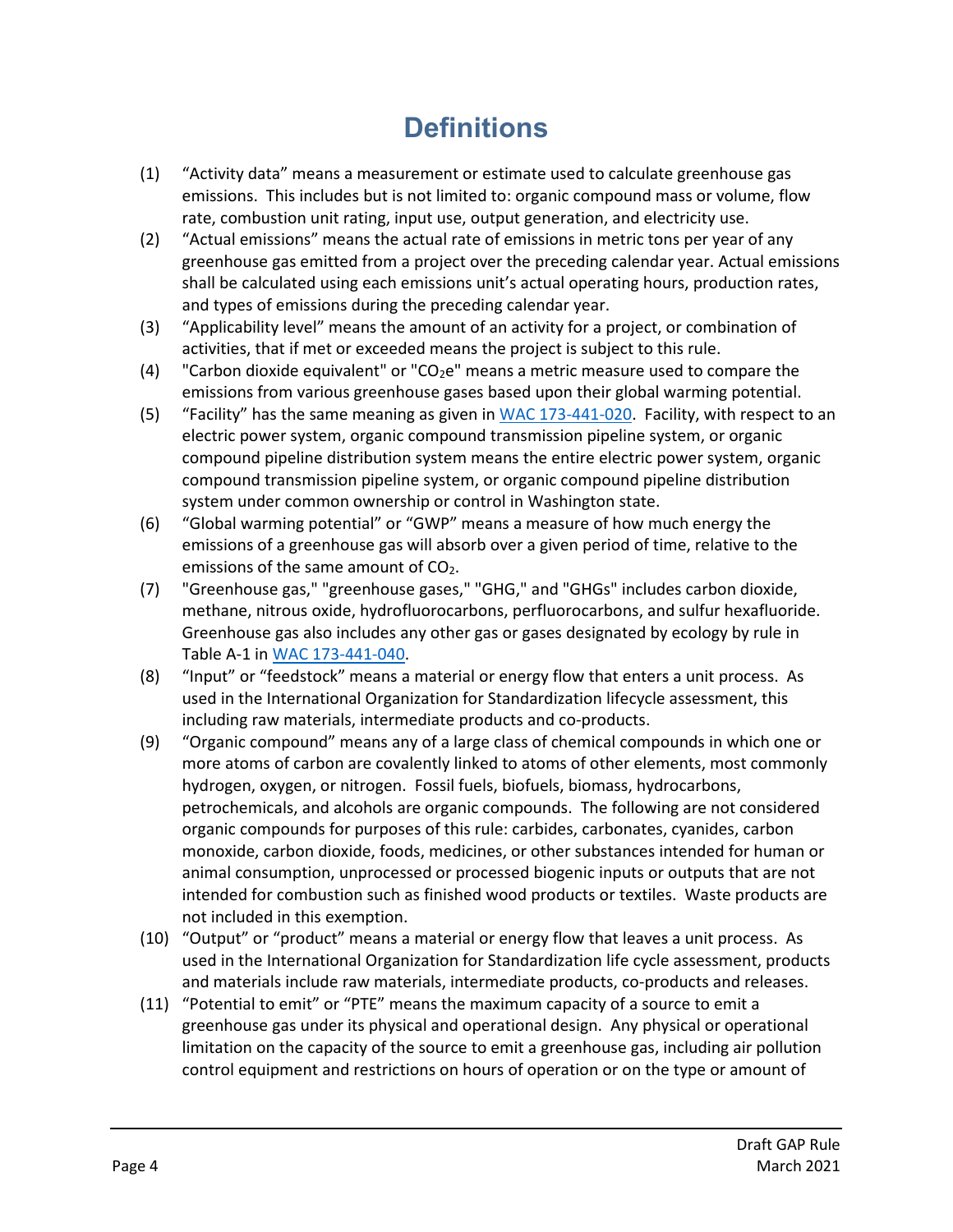# **Definitions**

- (1) "Activity data" means a measurement or estimate used to calculate greenhouse gas emissions. This includes but is not limited to: organic compound mass or volume, flow rate, combustion unit rating, input use, output generation, and electricity use.
- (2) "Actual emissions" means the actual rate of emissions in metric tons per year of any greenhouse gas emitted from a project over the preceding calendar year. Actual emissions shall be calculated using each emissions unit's actual operating hours, production rates, and types of emissions during the preceding calendar year.
- (3) "Applicability level" means the amount of an activity for a project, or combination of activities, that if met or exceeded means the project is subject to this rule.
- (4) "Carbon dioxide equivalent" or "CO<sub>2</sub>e" means a metric measure used to compare the emissions from various greenhouse gases based upon their global warming potential.
- (5) "Facility" has the same meaning as given in [WAC 173-441-020.](https://apps.leg.wa.gov/WAc/default.aspx?cite=173-441-020) Facility, with respect to an electric power system, organic compound transmission pipeline system, or organic compound pipeline distribution system means the entire electric power system, organic compound transmission pipeline system, or organic compound pipeline distribution system under common ownership or control in Washington state.
- (6) "Global warming potential" or "GWP" means a measure of how much energy the emissions of a greenhouse gas will absorb over a given period of time, relative to the emissions of the same amount of  $CO<sub>2</sub>$ .
- (7) "Greenhouse gas," "greenhouse gases," "GHG," and "GHGs" includes carbon dioxide, methane, nitrous oxide, hydrofluorocarbons, perfluorocarbons, and sulfur hexafluoride. Greenhouse gas also includes any other gas or gases designated by ecology by rule in Table A-1 in [WAC 173-441-040.](https://apps.leg.wa.gov/wac/default.aspx?cite=173-441-040)
- (8) "Input" or "feedstock" means a material or energy flow that enters a unit process. As used in the International Organization for Standardization lifecycle assessment, this including raw materials, intermediate products and co-products.
- (9) "Organic compound" means any of a large class of chemical compounds in which one or more atoms of carbon are covalently linked to atoms of other elements, most commonly hydrogen, oxygen, or nitrogen. Fossil fuels, biofuels, biomass, hydrocarbons, petrochemicals, and alcohols are organic compounds. The following are not considered organic compounds for purposes of this rule: carbides, carbonates, cyanides, carbon monoxide, carbon dioxide, foods, medicines, or other substances intended for human or animal consumption, unprocessed or processed biogenic inputs or outputs that are not intended for combustion such as finished wood products or textiles. Waste products are not included in this exemption.
- (10) "Output" or "product" means a material or energy flow that leaves a unit process. As used in the International Organization for Standardization life cycle assessment, products and materials include raw materials, intermediate products, co-products and releases.
- (11) "Potential to emit" or "PTE" means the maximum capacity of a source to emit a greenhouse gas under its physical and operational design. Any physical or operational limitation on the capacity of the source to emit a greenhouse gas, including air pollution control equipment and restrictions on hours of operation or on the type or amount of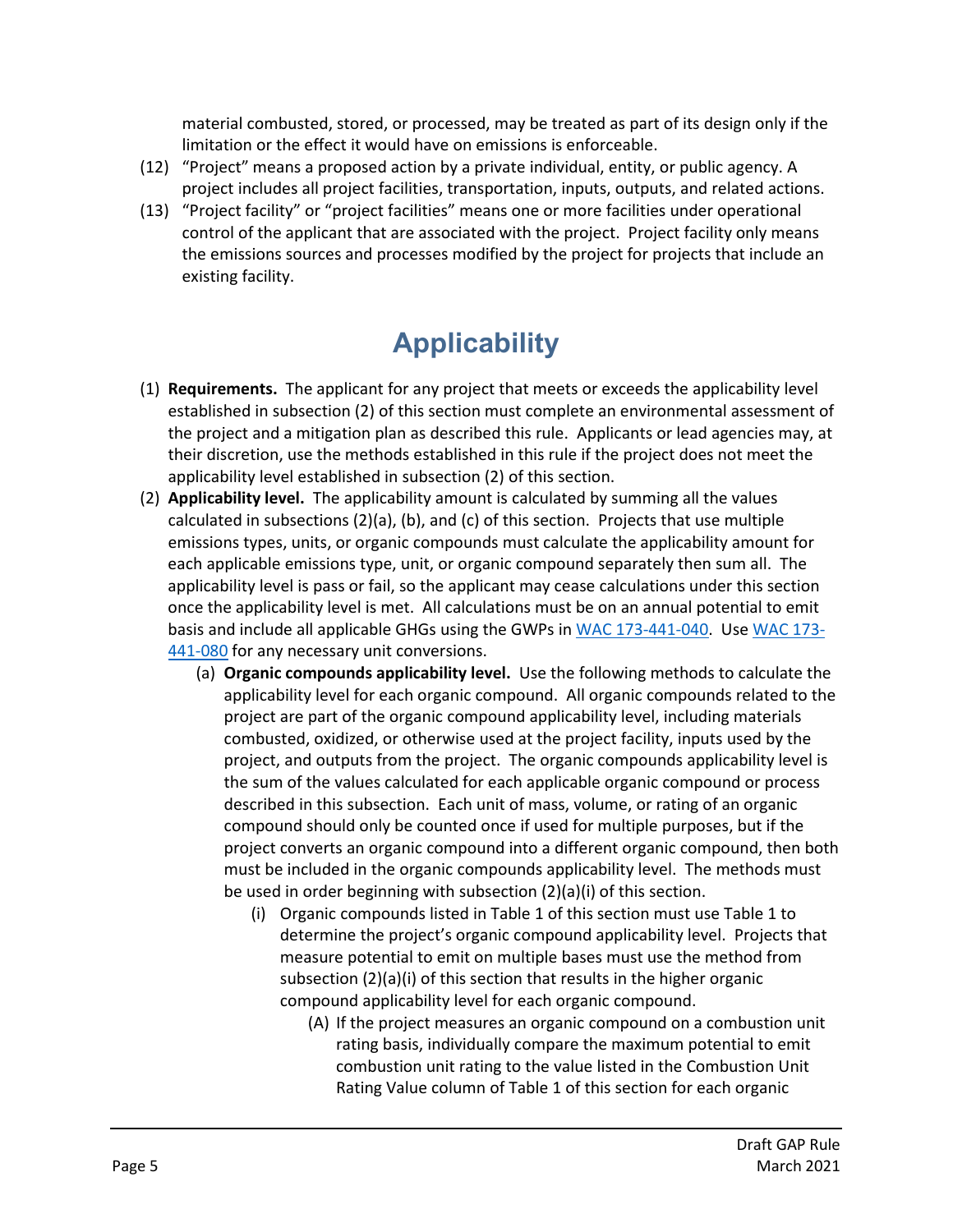material combusted, stored, or processed, may be treated as part of its design only if the limitation or the effect it would have on emissions is enforceable.

- (12) "Project" means a proposed action by a private individual, entity, or public agency. A project includes all project facilities, transportation, inputs, outputs, and related actions.
- (13) "Project facility" or "project facilities" means one or more facilities under operational control of the applicant that are associated with the project. Project facility only means the emissions sources and processes modified by the project for projects that include an existing facility.

# **Applicability**

- (1) **Requirements.** The applicant for any project that meets or exceeds the applicability level established in subsection (2) of this section must complete an environmental assessment of the project and a mitigation plan as described this rule. Applicants or lead agencies may, at their discretion, use the methods established in this rule if the project does not meet the applicability level established in subsection (2) of this section.
- (2) **Applicability level.** The applicability amount is calculated by summing all the values calculated in subsections  $(2)(a)$ ,  $(b)$ , and  $(c)$  of this section. Projects that use multiple emissions types, units, or organic compounds must calculate the applicability amount for each applicable emissions type, unit, or organic compound separately then sum all. The applicability level is pass or fail, so the applicant may cease calculations under this section once the applicability level is met. All calculations must be on an annual potential to emit basis and include all applicable GHGs using the GWPs in [WAC 173-441-040.](https://apps.leg.wa.gov/wac/default.aspx?cite=173-441-040) Us[e WAC 173-](https://apps.leg.wa.gov/wac/default.aspx?cite=173-441-080) [441-080](https://apps.leg.wa.gov/wac/default.aspx?cite=173-441-080) for any necessary unit conversions.
	- (a) **Organic compounds applicability level.** Use the following methods to calculate the applicability level for each organic compound. All organic compounds related to the project are part of the organic compound applicability level, including materials combusted, oxidized, or otherwise used at the project facility, inputs used by the project, and outputs from the project. The organic compounds applicability level is the sum of the values calculated for each applicable organic compound or process described in this subsection. Each unit of mass, volume, or rating of an organic compound should only be counted once if used for multiple purposes, but if the project converts an organic compound into a different organic compound, then both must be included in the organic compounds applicability level. The methods must be used in order beginning with subsection (2)(a)(i) of this section.
		- (i) Organic compounds listed in Table 1 of this section must use Table 1 to determine the project's organic compound applicability level. Projects that measure potential to emit on multiple bases must use the method from subsection (2)(a)(i) of this section that results in the higher organic compound applicability level for each organic compound.
			- (A) If the project measures an organic compound on a combustion unit rating basis, individually compare the maximum potential to emit combustion unit rating to the value listed in the Combustion Unit Rating Value column of Table 1 of this section for each organic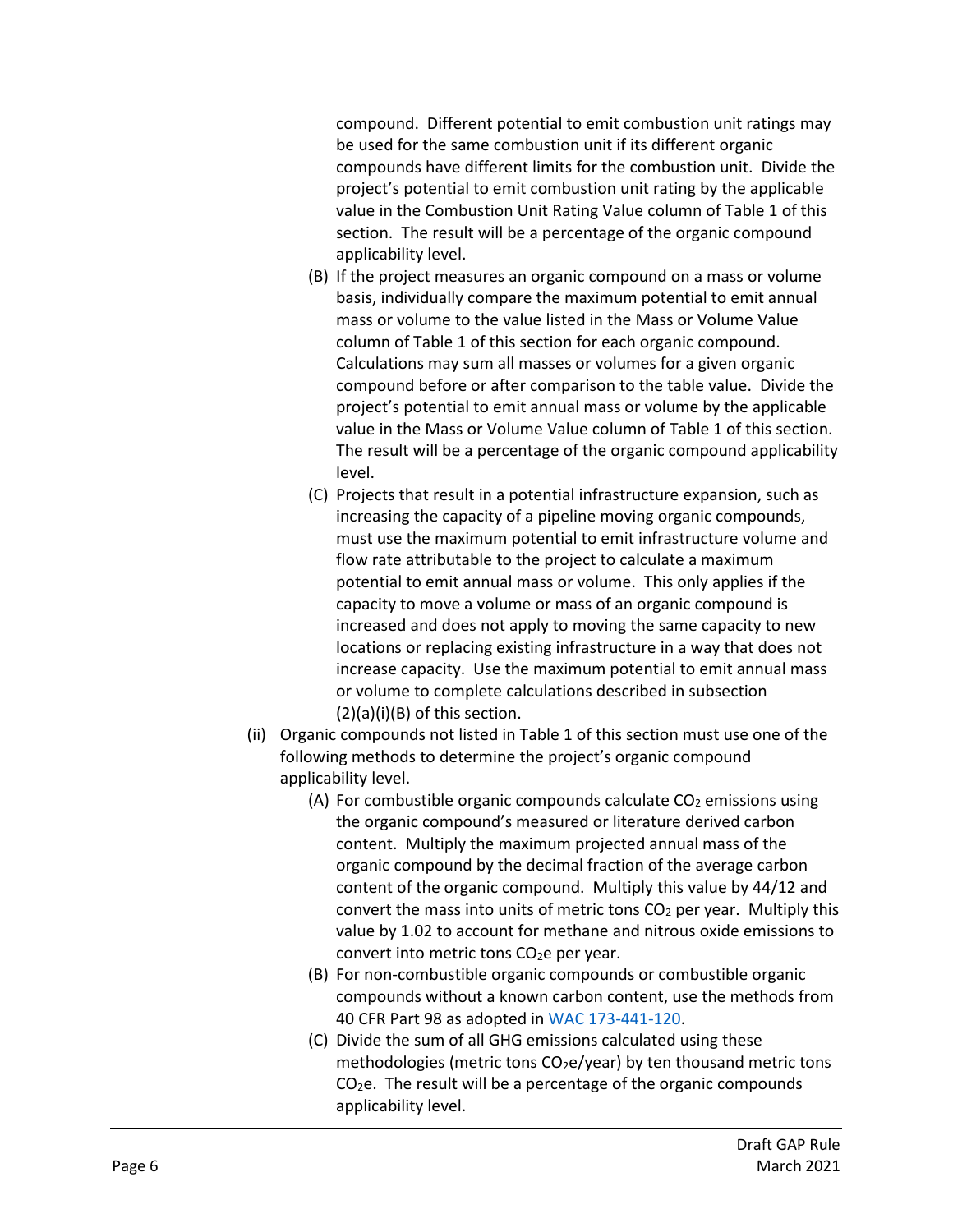compound. Different potential to emit combustion unit ratings may be used for the same combustion unit if its different organic compounds have different limits for the combustion unit. Divide the project's potential to emit combustion unit rating by the applicable value in the Combustion Unit Rating Value column of Table 1 of this section. The result will be a percentage of the organic compound applicability level.

- (B) If the project measures an organic compound on a mass or volume basis, individually compare the maximum potential to emit annual mass or volume to the value listed in the Mass or Volume Value column of Table 1 of this section for each organic compound. Calculations may sum all masses or volumes for a given organic compound before or after comparison to the table value. Divide the project's potential to emit annual mass or volume by the applicable value in the Mass or Volume Value column of Table 1 of this section. The result will be a percentage of the organic compound applicability level.
- (C) Projects that result in a potential infrastructure expansion, such as increasing the capacity of a pipeline moving organic compounds, must use the maximum potential to emit infrastructure volume and flow rate attributable to the project to calculate a maximum potential to emit annual mass or volume. This only applies if the capacity to move a volume or mass of an organic compound is increased and does not apply to moving the same capacity to new locations or replacing existing infrastructure in a way that does not increase capacity. Use the maximum potential to emit annual mass or volume to complete calculations described in subsection  $(2)(a)(i)(B)$  of this section.
- (ii) Organic compounds not listed in Table 1 of this section must use one of the following methods to determine the project's organic compound applicability level.
	- (A) For combustible organic compounds calculate  $CO<sub>2</sub>$  emissions using the organic compound's measured or literature derived carbon content. Multiply the maximum projected annual mass of the organic compound by the decimal fraction of the average carbon content of the organic compound. Multiply this value by 44/12 and convert the mass into units of metric tons  $CO<sub>2</sub>$  per year. Multiply this value by 1.02 to account for methane and nitrous oxide emissions to convert into metric tons CO<sub>2</sub>e per year.
	- (B) For non-combustible organic compounds or combustible organic compounds without a known carbon content, use the methods from 40 CFR Part 98 as adopted in [WAC 173-441-120.](https://apps.leg.wa.gov/wac/default.aspx?cite=173-441-120)
	- (C) Divide the sum of all GHG emissions calculated using these methodologies (metric tons  $CO<sub>2</sub>e/year$ ) by ten thousand metric tons  $CO<sub>2</sub>e$ . The result will be a percentage of the organic compounds applicability level.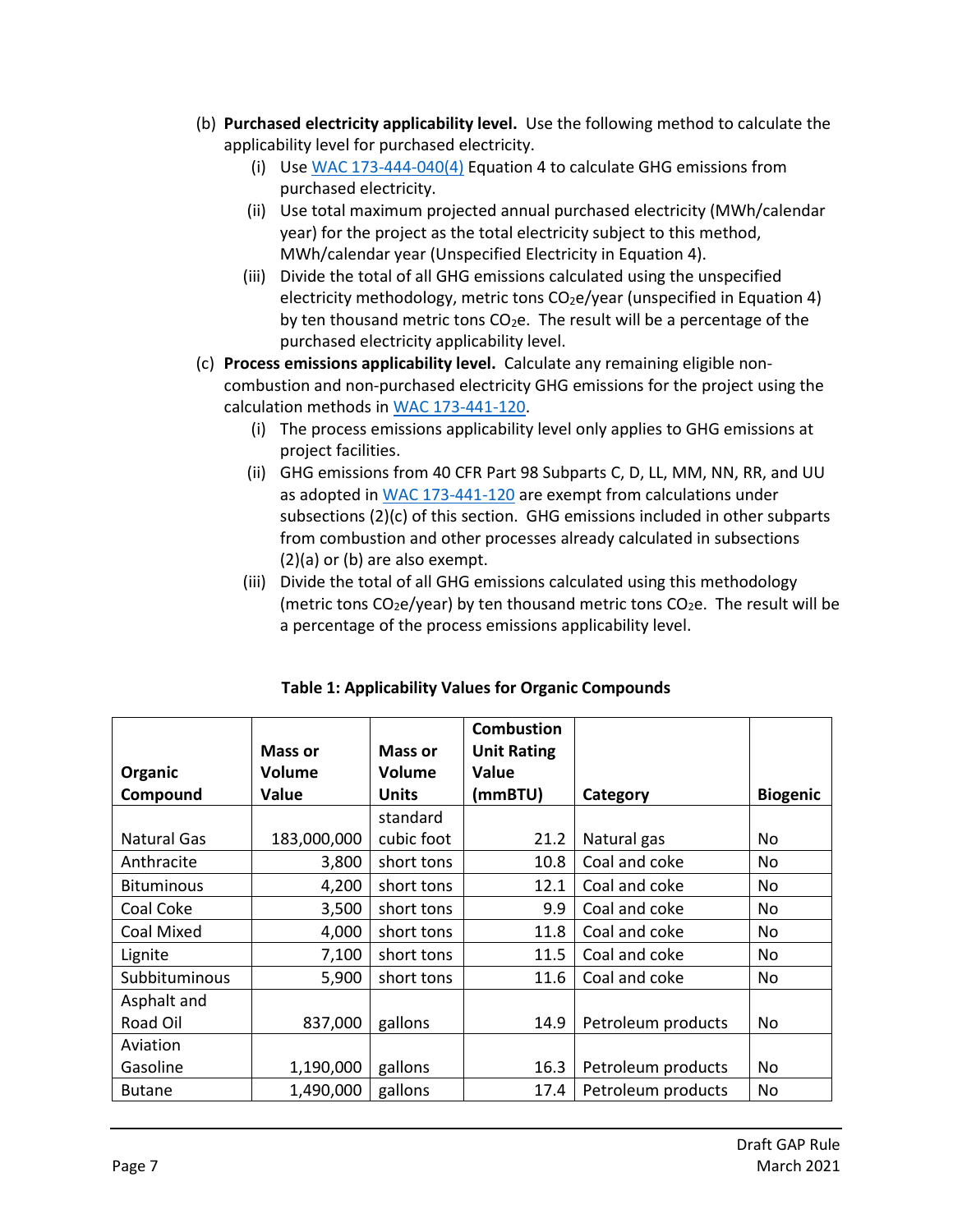- (b) **Purchased electricity applicability level.** Use the following method to calculate the applicability level for purchased electricity.
	- (i) Use [WAC 173-444-040\(4\)](https://apps.leg.wa.gov/wac/default.aspx?cite=173-444&full=true#173-444-040) Equation 4 to calculate GHG emissions from purchased electricity.
	- (ii) Use total maximum projected annual purchased electricity (MWh/calendar year) for the project as the total electricity subject to this method, MWh/calendar year (Unspecified Electricity in Equation 4).
	- (iii) Divide the total of all GHG emissions calculated using the unspecified electricity methodology, metric tons  $CO<sub>2</sub>e$ /year (unspecified in Equation 4)by ten thousand metric tons  $CO<sub>2</sub>e$ . The result will be a percentage of the purchased electricity applicability level.
- (c) **Process emissions applicability level.** Calculate any remaining eligible noncombustion and non-purchased electricity GHG emissions for the project using the calculation methods i[n WAC 173-441-120.](https://apps.leg.wa.gov/wac/default.aspx?cite=173-441-120)
	- (i) The process emissions applicability level only applies to GHG emissions at project facilities.
	- (ii) GHG emissions from 40 CFR Part 98 Subparts C, D, LL, MM, NN, RR, and UU as adopted in [WAC 173-441-120](https://apps.leg.wa.gov/wac/default.aspx?cite=173-441-120) are exempt from calculations under subsections (2)(c) of this section. GHG emissions included in other subparts from combustion and other processes already calculated in subsections (2)(a) or (b) are also exempt.
	- (iii) Divide the total of all GHG emissions calculated using this methodology (metric tons  $CO<sub>2</sub>e/year$ ) by ten thousand metric tons  $CO<sub>2</sub>e$ . The result will be a percentage of the process emissions applicability level.

|                   |                |                | <b>Combustion</b>  |                    |                 |
|-------------------|----------------|----------------|--------------------|--------------------|-----------------|
|                   | <b>Mass or</b> | <b>Mass or</b> | <b>Unit Rating</b> |                    |                 |
| Organic           | Volume         | Volume         | <b>Value</b>       |                    |                 |
| Compound          | Value          | <b>Units</b>   | (mmBTU)            | Category           | <b>Biogenic</b> |
|                   |                | standard       |                    |                    |                 |
| Natural Gas       | 183,000,000    | cubic foot     | 21.2               | Natural gas        | No              |
| Anthracite        | 3,800          | short tons     | 10.8               | Coal and coke      | No              |
| <b>Bituminous</b> | 4,200          | short tons     | 12.1               | Coal and coke      | No              |
| Coal Coke         | 3,500          | short tons     | 9.9                | Coal and coke      | No              |
| <b>Coal Mixed</b> | 4,000          | short tons     | 11.8               | Coal and coke      | No              |
| Lignite           | 7,100          | short tons     | 11.5               | Coal and coke      | No              |
| Subbituminous     | 5,900          | short tons     | 11.6               | Coal and coke      | No              |
| Asphalt and       |                |                |                    |                    |                 |
| Road Oil          | 837,000        | gallons        | 14.9               | Petroleum products | No              |
| Aviation          |                |                |                    |                    |                 |
| Gasoline          | 1,190,000      | gallons        | 16.3               | Petroleum products | No              |
| <b>Butane</b>     | 1,490,000      | gallons        | 17.4               | Petroleum products | No              |

|  | <b>Table 1: Applicability Values for Organic Compounds</b> |  |  |  |
|--|------------------------------------------------------------|--|--|--|
|--|------------------------------------------------------------|--|--|--|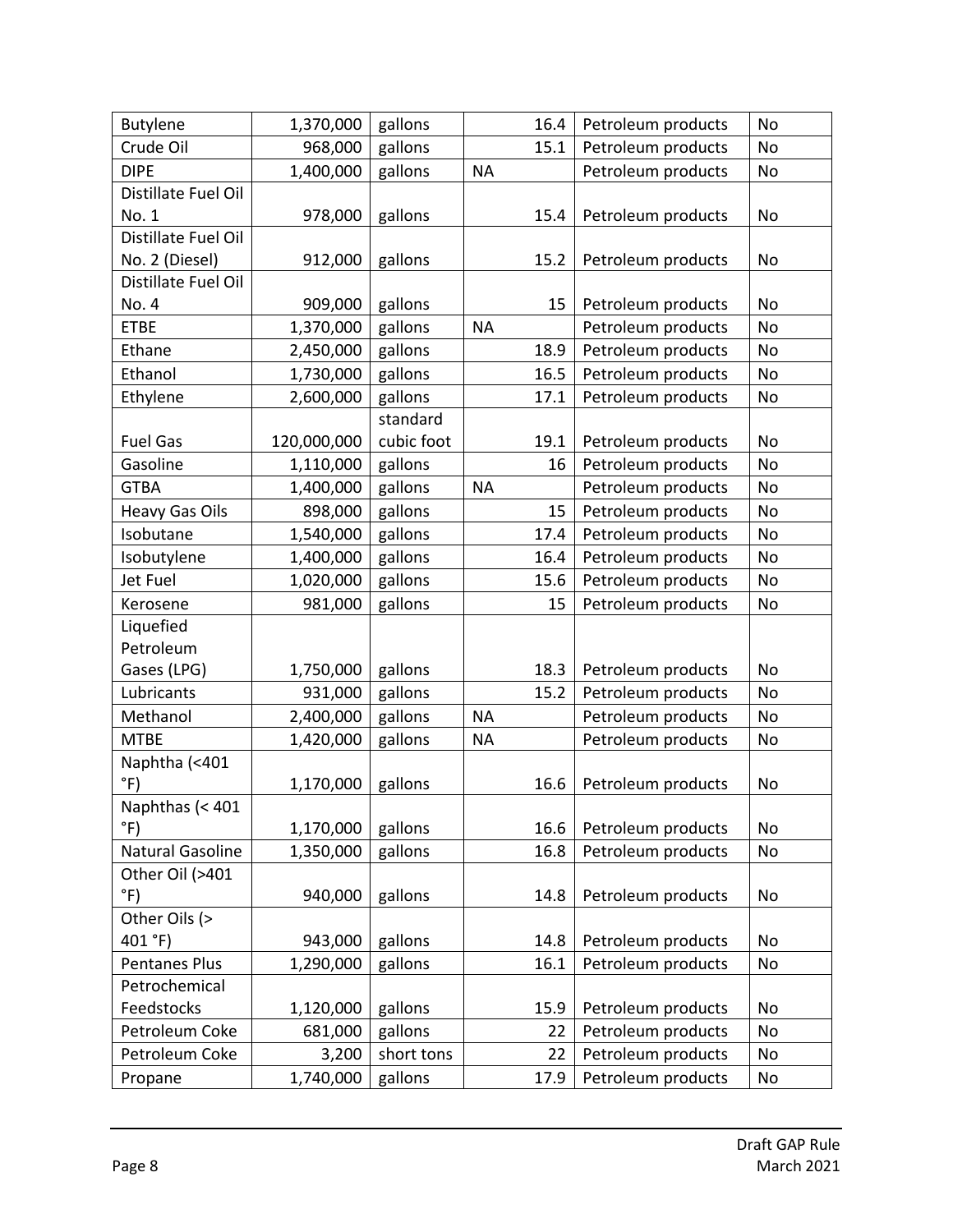| <b>Butylene</b>       | 1,370,000   | gallons    |           | 16.4 | Petroleum products | No            |
|-----------------------|-------------|------------|-----------|------|--------------------|---------------|
| Crude Oil             | 968,000     | gallons    |           | 15.1 | Petroleum products | No            |
| <b>DIPE</b>           | 1,400,000   | gallons    | <b>NA</b> |      | Petroleum products | No            |
| Distillate Fuel Oil   |             |            |           |      |                    |               |
| No. 1                 | 978,000     | gallons    |           | 15.4 | Petroleum products | No            |
| Distillate Fuel Oil   |             |            |           |      |                    |               |
| No. 2 (Diesel)        | 912,000     | gallons    |           | 15.2 | Petroleum products | No            |
| Distillate Fuel Oil   |             |            |           |      |                    |               |
| No. 4                 | 909,000     | gallons    |           | 15   | Petroleum products | No            |
| <b>ETBE</b>           | 1,370,000   | gallons    | <b>NA</b> |      | Petroleum products | No            |
| Ethane                | 2,450,000   | gallons    |           | 18.9 | Petroleum products | No            |
| Ethanol               | 1,730,000   | gallons    |           | 16.5 | Petroleum products | No            |
| Ethylene              | 2,600,000   | gallons    |           | 17.1 | Petroleum products | No            |
|                       |             | standard   |           |      |                    |               |
| <b>Fuel Gas</b>       | 120,000,000 | cubic foot |           | 19.1 | Petroleum products | No            |
| Gasoline              | 1,110,000   | gallons    |           | 16   | Petroleum products | No            |
| <b>GTBA</b>           | 1,400,000   | gallons    | <b>NA</b> |      | Petroleum products | No            |
| <b>Heavy Gas Oils</b> | 898,000     | gallons    |           | 15   | Petroleum products | No            |
| Isobutane             | 1,540,000   | gallons    |           | 17.4 | Petroleum products | No            |
| Isobutylene           | 1,400,000   | gallons    |           | 16.4 | Petroleum products | No            |
| Jet Fuel              | 1,020,000   | gallons    |           | 15.6 | Petroleum products | $\mathsf{No}$ |
| Kerosene              | 981,000     | gallons    |           | 15   | Petroleum products | No            |
| Liquefied             |             |            |           |      |                    |               |
| Petroleum             |             |            |           |      |                    |               |
| Gases (LPG)           | 1,750,000   | gallons    |           | 18.3 | Petroleum products | No            |
| Lubricants            | 931,000     | gallons    |           | 15.2 | Petroleum products | No            |
| Methanol              | 2,400,000   | gallons    | <b>NA</b> |      | Petroleum products | No            |
| <b>MTBE</b>           | 1,420,000   | gallons    | <b>NA</b> |      | Petroleum products | No            |
| Naphtha (<401         |             |            |           |      |                    |               |
| $\degree$ F)          | 1,170,000   | gallons    |           | 16.6 | Petroleum products | No            |
| Naphthas (< 401       |             |            |           |      |                    |               |
| $\degree$ F)          | 1,170,000   | gallons    |           | 16.6 | Petroleum products | No            |
| Natural Gasoline      | 1,350,000   | gallons    |           | 16.8 | Petroleum products | No            |
| Other Oil (>401       |             |            |           |      |                    |               |
| $\degree$ F)          | 940,000     | gallons    |           | 14.8 | Petroleum products | No            |
| Other Oils (>         |             |            |           |      |                    |               |
| 401 °F)               | 943,000     | gallons    |           | 14.8 | Petroleum products | No            |
| <b>Pentanes Plus</b>  | 1,290,000   | gallons    |           | 16.1 | Petroleum products | No            |
| Petrochemical         |             |            |           |      |                    |               |
| Feedstocks            | 1,120,000   | gallons    |           | 15.9 | Petroleum products | No            |
| Petroleum Coke        | 681,000     | gallons    |           | 22   | Petroleum products | No            |
| Petroleum Coke        | 3,200       | short tons |           | 22   | Petroleum products | No            |
| Propane               | 1,740,000   | gallons    |           | 17.9 | Petroleum products | No            |